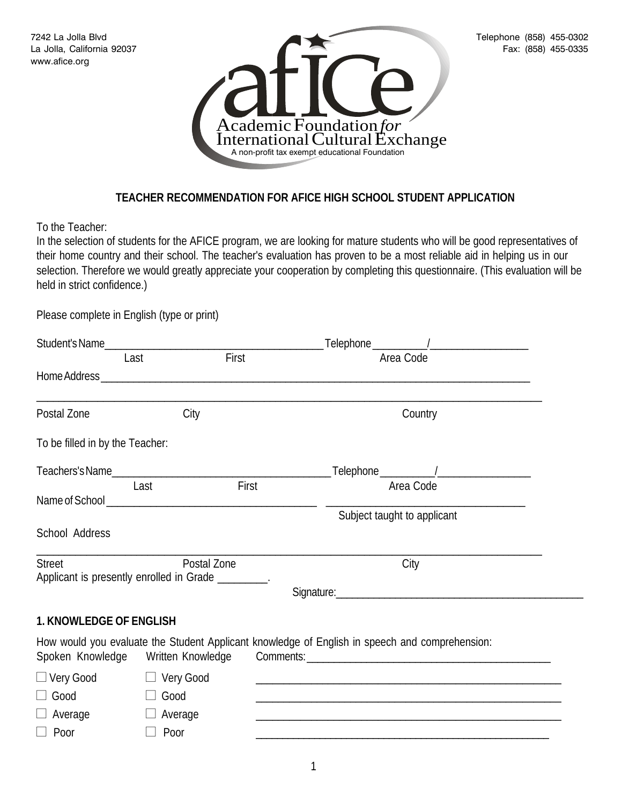

## **TEACHER RECOMMENDATION FOR AFICE HIGH SCHOOL STUDENT APPLICATION**

To the Teacher:

In the selection of students for the AFICE program, we are looking for mature students who will be good representatives of their home country and their school. The teacher's evaluation has proven to be a most reliable aid in helping us in our selection. Therefore we would greatly appreciate your cooperation by completing this questionnaire. (This evaluation will be held in strict confidence.)

Please complete in English (type or print)

| Last                            | First                                                              | Area Code                                                                                                               |
|---------------------------------|--------------------------------------------------------------------|-------------------------------------------------------------------------------------------------------------------------|
|                                 |                                                                    |                                                                                                                         |
| Postal Zone                     | City                                                               | Country                                                                                                                 |
| To be filled in by the Teacher: |                                                                    |                                                                                                                         |
|                                 |                                                                    |                                                                                                                         |
|                                 | First<br>Last                                                      | Area Code                                                                                                               |
|                                 |                                                                    | Subject taught to applicant                                                                                             |
| School Address                  |                                                                    |                                                                                                                         |
| <b>Street</b>                   | Postal Zone<br>Applicant is presently enrolled in Grade _________. | City                                                                                                                    |
|                                 |                                                                    | Signature: <u>Communications</u> Communications and Communications Communications and Communications Communications and |
| 1. KNOWLEDGE OF ENGLISH         |                                                                    |                                                                                                                         |
|                                 | Spoken Knowledge Written Knowledge                                 | How would you evaluate the Student Applicant knowledge of English in speech and comprehension:                          |
| $\Box$ Very Good                | □ Very Good                                                        |                                                                                                                         |
| $\Box$ Good                     | Good                                                               |                                                                                                                         |
| $\Box$ Average                  | $\Box$ Average                                                     |                                                                                                                         |
| $\Box$ Poor                     | Poor                                                               |                                                                                                                         |
|                                 |                                                                    |                                                                                                                         |